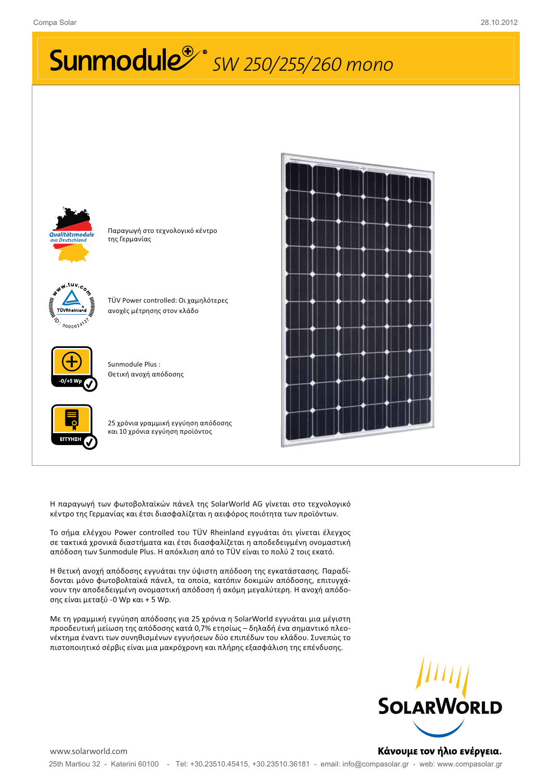# SW 250/255/260 mono



Παρανωνή στο τεχνολονικό κέντρο της Γερμανίας



TÜV Power controlled: Οι χαμηλότερες ανογές μέτρησης στον κλάδο



Sunmodule Plus : Θετική ανοχή απόδοσης



www.solarworld.com

25 χρόνια γραμμική εγγύηση απόδοσης και 10 χρόνια εννύηση προϊόντος



Η παραγωνή των φωτοβολταϊκών πάνελ της SolarWorld AG νίνεται στο τεχνολονικό κέντρο της Γερμανίας και έτσι διασφαλίζεται η αειφόρος ποιότητα των προϊόντων.

Το σήμα ελένχου Power controlled του TÜV Rheinland εννυάται ότι νίνεται έλενχος σε τακτικά χρονικά διαστήματα και έτσι διασφαλίζεται η αποδεδεινμένη ονομαστική απόδοση των Sunmodule Plus. Η απόκλιση από το TÜV είναι το πολύ 2 τοις εκατό.

Η θετική ανοχή απόδοσης εννυάται την ύψιστη απόδοση της ενκατάστασης. Παραδίδονται μόνο φωτοβολταϊκά πάνελ, τα οποία, κατόπιν δοκιμών απόδοσης, επιτυνχάνουν την αποδεδεινμένη ονομαστική απόδοση ή ακόμη μεναλύτερη. Η ανοχή απόδοσης είναι μεταξύ -0 Wp και + 5 Wp.

Με τη νραμμική εννύηση απόδοσης νια 25 χρόνια η SolarWorld εννυάται μια μένιστη προοδευτική μείωση της απόδοσης κατά 0.7% ετησίως – δηλαδή ένα σημαντικό πλεονέκτημα έναντι των συνηθισμένων εννυήσεων δύο επιπέδων του κλάδου. Συνεπώς το πιστοποιητικό σέρβις είναι μια μακρόγρονη και πλήρης εξασφάλιση της επένδυσης.



## Κάνουμε τον ήλιο ενέργεια.

25th Martiou 32 - Katerini 60100 - Tel: +30.23510.45415, +30.23510.36181 - email: info@compasolar.gr - web: www.compasolar.gr